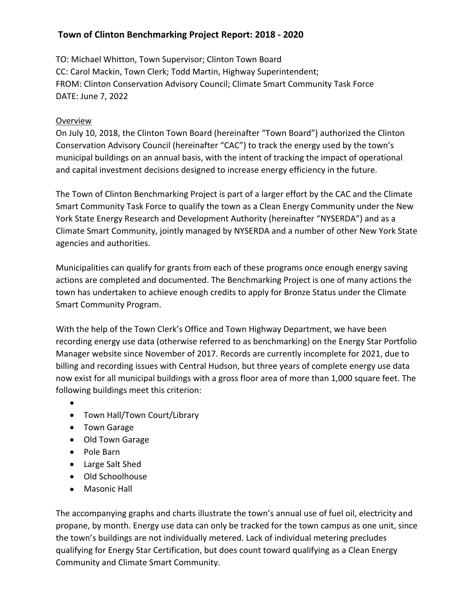## **Town of Clinton Benchmarking Project Report: 2018 - 2020**

TO: Michael Whitton, Town Supervisor; Clinton Town Board CC: Carol Mackin, Town Clerk; Todd Martin, Highway Superintendent; FROM: Clinton Conservation Advisory Council; Climate Smart Community Task Force DATE: June 7, 2022

## Overview

On July 10, 2018, the Clinton Town Board (hereinafter "Town Board") authorized the Clinton Conservation Advisory Council (hereinafter "CAC") to track the energy used by the town's municipal buildings on an annual basis, with the intent of tracking the impact of operational and capital investment decisions designed to increase energy efficiency in the future.

The Town of Clinton Benchmarking Project is part of a larger effort by the CAC and the Climate Smart Community Task Force to qualify the town as a Clean Energy Community under the New York State Energy Research and Development Authority (hereinafter "NYSERDA") and as a Climate Smart Community, jointly managed by NYSERDA and a number of other New York State agencies and authorities.

Municipalities can qualify for grants from each of these programs once enough energy saving actions are completed and documented. The Benchmarking Project is one of many actions the town has undertaken to achieve enough credits to apply for Bronze Status under the Climate Smart Community Program.

With the help of the Town Clerk's Office and Town Highway Department, we have been recording energy use data (otherwise referred to as benchmarking) on the Energy Star Portfolio Manager website since November of 2017. Records are currently incomplete for 2021, due to billing and recording issues with Central Hudson, but three years of complete energy use data now exist for all municipal buildings with a gross floor area of more than 1,000 square feet. The following buildings meet this criterion:

- $\bullet$  and  $\bullet$  and  $\bullet$  and  $\bullet$  and  $\bullet$
- Town Hall/Town Court/Library
- Town Garage
- Old Town Garage
- Pole Barn
- Large Salt Shed
- Old Schoolhouse
- Masonic Hall

The accompanying graphs and charts illustrate the town's annual use of fuel oil, electricity and propane, by month. Energy use data can only be tracked for the town campus as one unit, since the town's buildings are not individually metered. Lack of individual metering precludes qualifying for Energy Star Certification, but does count toward qualifying as a Clean Energy Community and Climate Smart Community.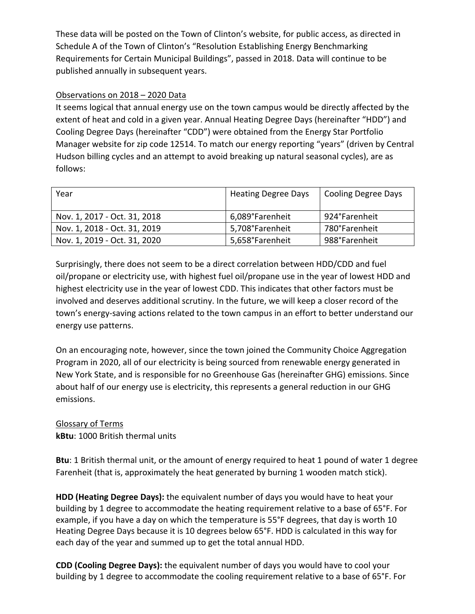These data will be posted on the Town of Clinton's website, for public access, as directed in Schedule A of the Town of Clinton's "Resolution Establishing Energy Benchmarking Requirements for Certain Municipal Buildings", passed in 2018. Data will continue to be published annually in subsequent years.

## Observations on 2018 – 2020 Data

It seems logical that annual energy use on the town campus would be directly affected by the extent of heat and cold in a given year. Annual Heating Degree Days (hereinafter "HDD") and Cooling Degree Days (hereinafter "CDD") were obtained from the Energy Star Portfolio Manager website for zip code 12514. To match our energy reporting "years" (driven by Central Hudson billing cycles and an attempt to avoid breaking up natural seasonal cycles), are as follows:

| Year                         | <b>Heating Degree Days</b> | Cooling Degree Days |
|------------------------------|----------------------------|---------------------|
| Nov. 1, 2017 - Oct. 31, 2018 | 6,089°Farenheit            | 924°Farenheit       |
| Nov. 1, 2018 - Oct. 31, 2019 | 5,708°Farenheit            | 780°Farenheit       |
| Nov. 1, 2019 - Oct. 31, 2020 | 5,658°Farenheit            | 988°Farenheit       |

 Surprisingly, there does not seem to be a direct correlation between HDD/CDD and fuel oil/propane or electricity use, with highest fuel oil/propane use in the year of lowest HDD and highest electricity use in the year of lowest CDD. This indicates that other factors must be involved and deserves additional scrutiny. In the future, we will keep a closer record of the town's energy-saving actions related to the town campus in an effort to better understand our energy use patterns.

On an encouraging note, however, since the town joined the Community Choice Aggregation Program in 2020, all of our electricity is being sourced from renewable energy generated in New York State, and is responsible for no Greenhouse Gas (hereinafter GHG) emissions. Since about half of our energy use is electricity, this represents a general reduction in our GHG emissions.

## Glossary of Terms **kBtu**: 1000 British thermal units

**Btu**: 1 British thermal unit, or the amount of energy required to heat 1 pound of water 1 degree Farenheit (that is, approximately the heat generated by burning 1 wooden match stick).

**HDD (Heating Degree Days):** the equivalent number of days you would have to heat your building by 1 degree to accommodate the heating requirement relative to a base of 65°F. For example, if you have a day on which the temperature is 55°F degrees, that day is worth 10 Heating Degree Days because it is 10 degrees below 65°F. HDD is calculated in this way for each day of the year and summed up to get the total annual HDD.

**CDD (Cooling Degree Days):** the equivalent number of days you would have to cool your building by 1 degree to accommodate the cooling requirement relative to a base of 65°F. For